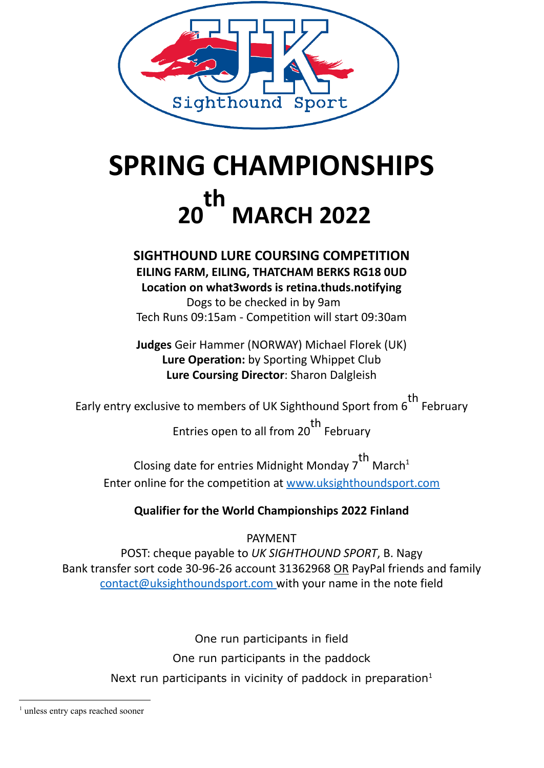

## **SPRING CHAMPIONSHIPS 20 th MARCH 2022**

# **SIGHTHOUND LURE COURSING COMPETITION**

**EILING FARM, EILING, THATCHAM BERKS RG18 0UD Location on what3words is retina.thuds.notifying**

Dogs to be checked in by 9am Tech Runs 09:15am - Competition will start 09:30am

**Judges** Geir Hammer (NORWAY) Michael Florek (UK) **Lure Operation:** by Sporting Whippet Club **Lure Coursing Director**: Sharon Dalgleish

Early entry exclusive to members of UK Sighthound Sport from 6 th February

> Entries open to all from 20 th February

Closing date for entries Midnight Monday 7 th March<sup>1</sup> Enter online for the competition at [www.uksighthoundsport.com](http://www.uksighthoundsport.com/)

## **Qualifier for the World Championships 2022 Finland**

PAYMENT

POST: cheque payable to *UK SIGHTHOUND SPORT*, B. Nagy Bank transfer sort code 30-96-26 account 31362968 OR PayPal friends and family [contact@uksighthoundsport.com](mailto:contact@uksighthoundsport.com) with your name in the note field

> One run participants in field One run participants in the paddock Next run participants in vicinity of paddock in preparation $1$

<sup>&</sup>lt;sup>1</sup> unless entry caps reached sooner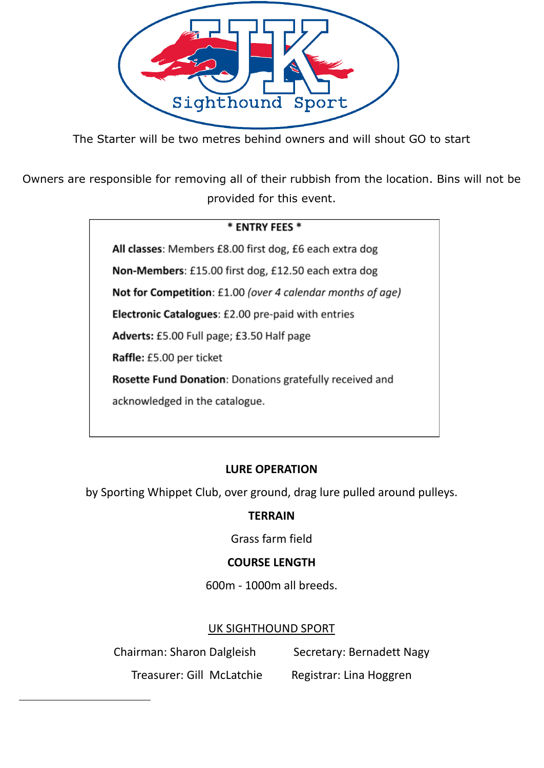

The Starter will be two metres behind owners and will shout GO to start

Owners are responsible for removing all of their rubbish from the location. Bins will not be provided for this event.

#### \* ENTRY FEES \*

All classes: Members £8.00 first dog, £6 each extra dog Non-Members: £15.00 first dog, £12.50 each extra dog

Not for Competition: £1.00 (over 4 calendar months of age)

Electronic Catalogues: £2.00 pre-paid with entries

Adverts: £5.00 Full page; £3.50 Half page

Raffle: £5.00 per ticket

Rosette Fund Donation: Donations gratefully received and

acknowledged in the catalogue.

## **LURE OPERATION**

by Sporting Whippet Club, over ground, drag lure pulled around pulleys.

## **TERRAIN**

Grass farm field

## **COURSE LENGTH**

600m - 1000m all breeds.

## UK SIGHTHOUND SPORT

Chairman: Sharon Dalgleish Secretary: Bernadett Nagy

Treasurer: Gill McLatchie Registrar: Lina Hoggren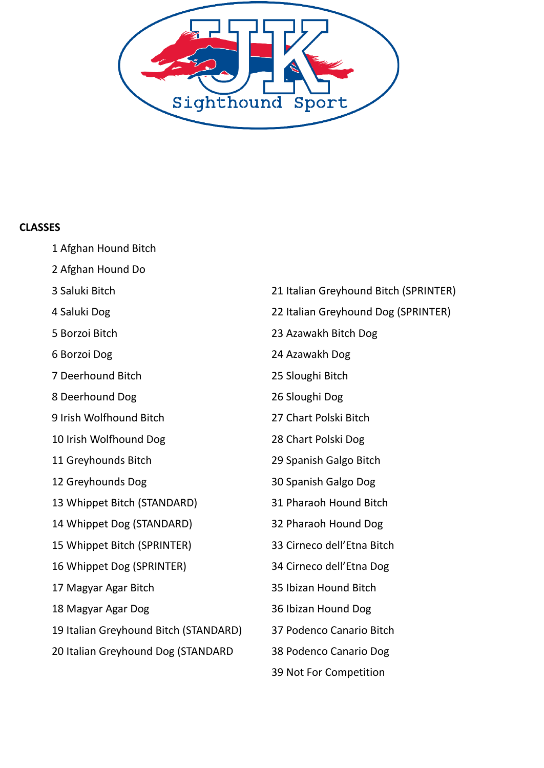

#### **CLASSES**

Afghan Hound Bitch

- Afghan Hound Do
- Saluki Bitch
- Saluki Dog
- Borzoi Bitch
- Borzoi Dog
- Deerhound Bitch
- Deerhound Dog
- Irish Wolfhound Bitch
- Irish Wolfhound Dog
- Greyhounds Bitch
- Greyhounds Dog
- Whippet Bitch (STANDARD)
- Whippet Dog (STANDARD)
- Whippet Bitch (SPRINTER)
- Whippet Dog (SPRINTER)
- Magyar Agar Bitch
- Magyar Agar Dog
- Italian Greyhound Bitch (STANDARD)
- Italian Greyhound Dog (STANDARD
- Italian Greyhound Bitch (SPRINTER) Italian Greyhound Dog (SPRINTER) Azawakh Bitch Dog Azawakh Dog Sloughi Bitch Sloughi Dog Chart Polski Bitch Chart Polski Dog Spanish Galgo Bitch Spanish Galgo Dog Pharaoh Hound Bitch Pharaoh Hound Dog Cirneco dell'Etna Bitch Cirneco dell'Etna Dog Ibizan Hound Bitch Ibizan Hound Dog Podenco Canario Bitch
- Podenco Canario Dog
- Not For Competition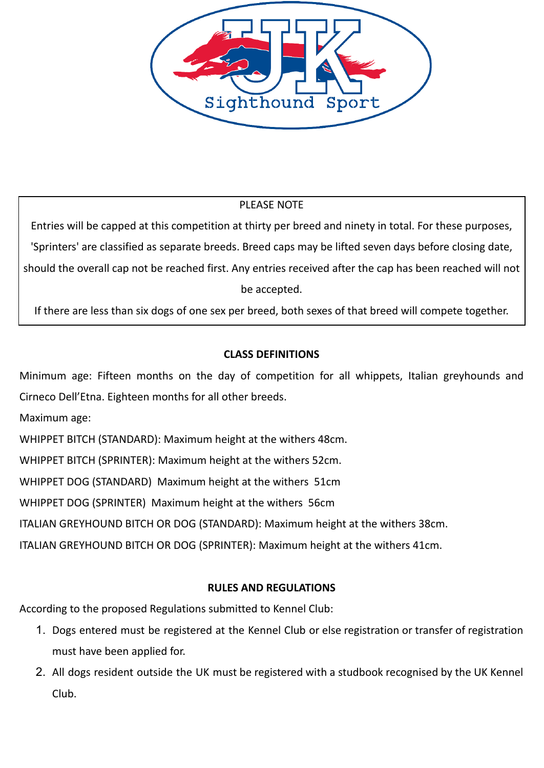

## PLEASE NOTE

Entries will be capped at this competition at thirty per breed and ninety in total. For these purposes, 'Sprinters' are classified as separate breeds. Breed caps may be lifted seven days before closing date, should the overall cap not be reached first. Any entries received after the cap has been reached will not be accepted.

If there are less than six dogs of one sex per breed, both sexes of that breed will compete together.

## **CLASS DEFINITIONS**

Minimum age: Fifteen months on the day of competition for all whippets, Italian greyhounds and Cirneco Dell'Etna. Eighteen months for all other breeds.

Maximum age:

WHIPPET BITCH (STANDARD): Maximum height at the withers 48cm.

WHIPPET BITCH (SPRINTER): Maximum height at the withers 52cm.

WHIPPET DOG (STANDARD) Maximum height at the withers 51cm

WHIPPET DOG (SPRINTER) Maximum height at the withers 56cm

ITALIAN GREYHOUND BITCH OR DOG (STANDARD): Maximum height at the withers 38cm.

ITALIAN GREYHOUND BITCH OR DOG (SPRINTER): Maximum height at the withers 41cm.

## **RULES AND REGULATIONS**

According to the proposed Regulations submitted to Kennel Club:

- 1. Dogs entered must be registered at the Kennel Club or else registration or transfer of registration must have been applied for.
- 2. All dogs resident outside the UK must be registered with a studbook recognised by the UK Kennel Club.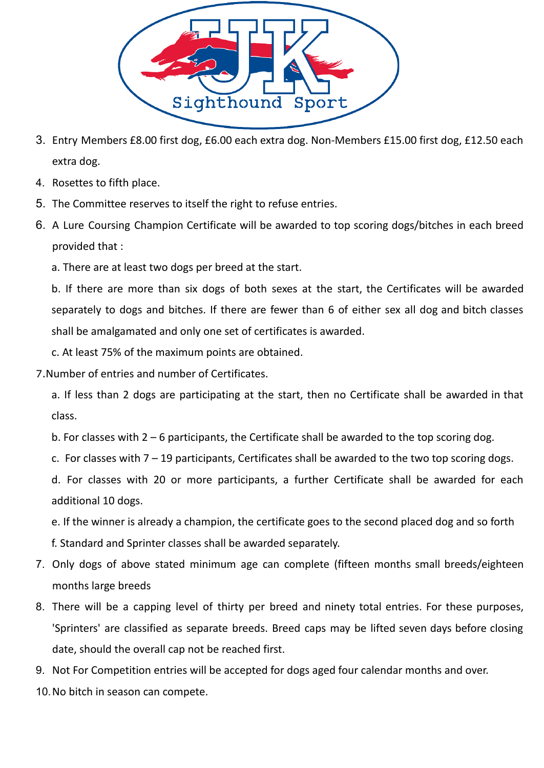

- 3. Entry Members £8.00 first dog, £6.00 each extra dog. Non-Members £15.00 first dog, £12.50 each extra dog.
- 4. Rosettes to fifth place.
- 5. The Committee reserves to itself the right to refuse entries.
- 6. A Lure Coursing Champion Certificate will be awarded to top scoring dogs/bitches in each breed provided that :
	- a. There are at least two dogs per breed at the start.

b. If there are more than six dogs of both sexes at the start, the Certificates will be awarded separately to dogs and bitches. If there are fewer than 6 of either sex all dog and bitch classes shall be amalgamated and only one set of certificates is awarded.

c. At least 75% of the maximum points are obtained.

7.Number of entries and number of Certificates.

a. If less than 2 dogs are participating at the start, then no Certificate shall be awarded in that class.

b. For classes with 2 – 6 participants, the Certificate shall be awarded to the top scoring dog.

c. For classes with 7 – 19 participants, Certificates shall be awarded to the two top scoring dogs.

d. For classes with 20 or more participants, a further Certificate shall be awarded for each additional 10 dogs.

e. If the winner is already a champion, the certificate goes to the second placed dog and so forth f. Standard and Sprinter classes shall be awarded separately.

- 7. Only dogs of above stated minimum age can complete (fifteen months small breeds/eighteen months large breeds
- 8. There will be a capping level of thirty per breed and ninety total entries. For these purposes, 'Sprinters' are classified as separate breeds. Breed caps may be lifted seven days before closing date, should the overall cap not be reached first.
- 9. Not For Competition entries will be accepted for dogs aged four calendar months and over.
- 10.No bitch in season can compete.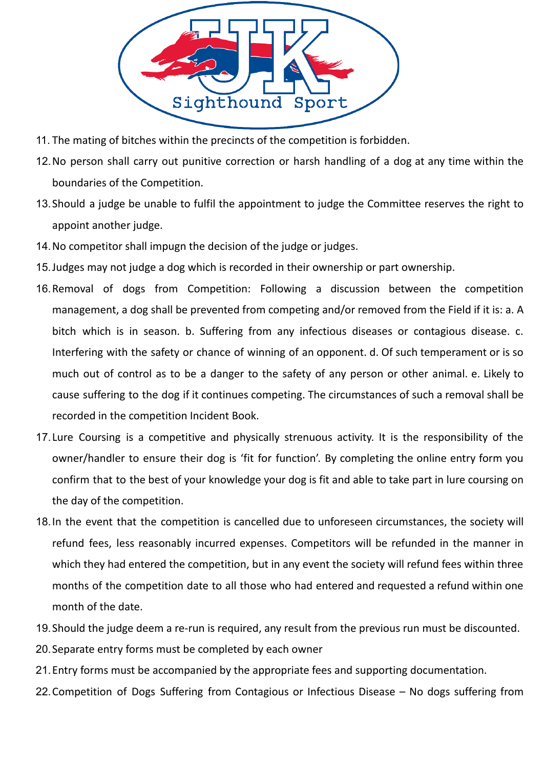

- 11. The mating of bitches within the precincts of the competition is forbidden.
- 12.No person shall carry out punitive correction or harsh handling of a dog at any time within the boundaries of the Competition.
- 13.Should a judge be unable to fulfil the appointment to judge the Committee reserves the right to appoint another judge.
- 14.No competitor shall impugn the decision of the judge or judges.
- 15.Judges may not judge a dog which is recorded in their ownership or part ownership.
- 16.Removal of dogs from Competition: Following a discussion between the competition management, a dog shall be prevented from competing and/or removed from the Field if it is: a. A bitch which is in season. b. Suffering from any infectious diseases or contagious disease. c. Interfering with the safety or chance of winning of an opponent. d. Of such temperament or is so much out of control as to be a danger to the safety of any person or other animal. e. Likely to cause suffering to the dog if it continues competing. The circumstances of such a removal shall be recorded in the competition Incident Book.
- 17.Lure Coursing is a competitive and physically strenuous activity. It is the responsibility of the owner/handler to ensure their dog is 'fit for function'. By completing the online entry form you confirm that to the best of your knowledge your dog is fit and able to take part in lure coursing on the day of the competition.
- 18.In the event that the competition is cancelled due to unforeseen circumstances, the society will refund fees, less reasonably incurred expenses. Competitors will be refunded in the manner in which they had entered the competition, but in any event the society will refund fees within three months of the competition date to all those who had entered and requested a refund within one month of the date.
- 19.Should the judge deem a re-run is required, any result from the previous run must be discounted.
- 20.Separate entry forms must be completed by each owner
- 21.Entry forms must be accompanied by the appropriate fees and supporting documentation.
- 22.Competition of Dogs Suffering from Contagious or Infectious Disease No dogs suffering from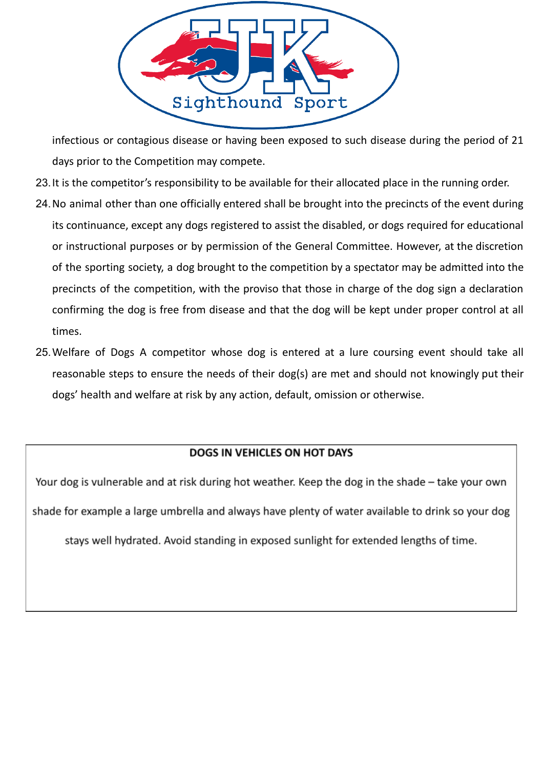

infectious or contagious disease or having been exposed to such disease during the period of 21 days prior to the Competition may compete.

- 23.It is the competitor's responsibility to be available for their allocated place in the running order.
- 24.No animal other than one officially entered shall be brought into the precincts of the event during its continuance, except any dogs registered to assist the disabled, or dogs required for educational or instructional purposes or by permission of the General Committee. However, at the discretion of the sporting society, a dog brought to the competition by a spectator may be admitted into the precincts of the competition, with the proviso that those in charge of the dog sign a declaration confirming the dog is free from disease and that the dog will be kept under proper control at all times.
- 25.Welfare of Dogs A competitor whose dog is entered at a lure coursing event should take all reasonable steps to ensure the needs of their dog(s) are met and should not knowingly put their dogs' health and welfare at risk by any action, default, omission or otherwise.

#### DOGS IN VEHICLES ON HOT DAYS

Your dog is vulnerable and at risk during hot weather. Keep the dog in the shade - take your own shade for example a large umbrella and always have plenty of water available to drink so your dog stays well hydrated. Avoid standing in exposed sunlight for extended lengths of time.